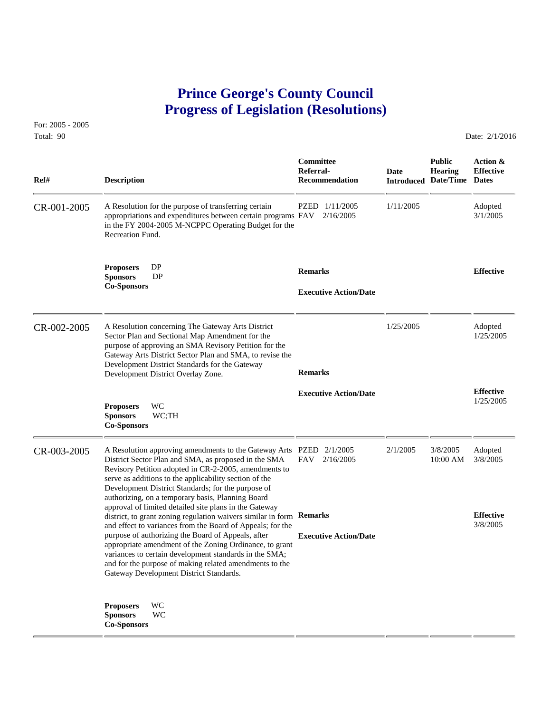## **Prince George's County Council Progress of Legislation (Resolutions)**

For: 2005 - 2005 Total: 90 Date: 2/1/2016

 **Committee Public Action & Referral- Date Hearing Effective Ref# Description Recommendation Introduced Date/Time Dates** CR-001-2005 A Resolution for the purpose of transferring certain PZED 1/11/2005 1/11/2005 Adopted appropriations and expenditures between certain programs FAV 2/16/2005 3/1/2005 appropriations and expenditures between certain programs  $FAV$   $2/16/2005$ in the FY 2004-2005 M-NCPPC Operating Budget for the Recreation Fund. **Proposers** DP **Remarks Effective Sponsors** DP **Co-Sponsors Executive Action/Date** CR-002-2005 A Resolution concerning The Gateway Arts District 1/25/2005 Adopted<br>Sector Plan and Sectional Map Amendment for the 1/25/2005 1/25/2005 Sector Plan and Sectional Map Amendment for the purpose of approving an SMA Revisory Petition for the Gateway Arts District Sector Plan and SMA, to revise the Development District Standards for the Gateway Development District Overlay Zone. **Remarks Effective Executive Action/Date** 1/25/2005 **Proposers** WC **Sponsors** WC;TH **Co-Sponsors**  CR-003-2005 A Resolution approving amendments to the Gateway Arts PZED 2/1/2005 2/1/2005 3/8/2005 Adopted<br>District Sector Plan and SMA, as proposed in the SMA FAV 2/16/2005 10:00 AM 3/8/2005 District Sector Plan and SMA, as proposed in the SMA Revisory Petition adopted in CR-2-2005, amendments to serve as additions to the applicability section of the Development District Standards; for the purpose of authorizing, on a temporary basis, Planning Board approval of limited detailed site plans in the Gateway district, to grant zoning regulation waivers similar in form **Remarks Effective**<br>and effect to variances from the Board of Appeals: for the  $\frac{3}{8}/2005$ and effect to variances from the Board of Appeals; for the purpose of authorizing the Board of Appeals, after **Executive Action/Date** appropriate amendment of the Zoning Ordinance, to grant variances to certain development standards in the SMA; and for the purpose of making related amendments to the Gateway Development District Standards. **Proposers** WC **Sponsors** WC **Co-Sponsors**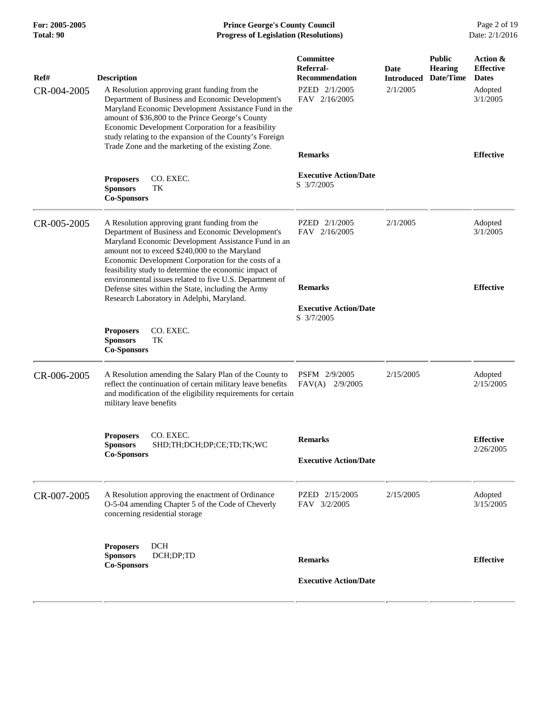## **For: 2005-2005 Prince George's County Council** Page 2 of 19<br> **Prince George's County Council** Page 2 of 19<br> **Progress of Legislation (Resolutions)** Date: 2/1/2016 **Total: 90 Progress of Legislation (Resolutions)**

| Ref#        | <b>Description</b>                                                                                                                                                                                                                                                                                                                                                                     | Committee<br>Referral-<br><b>Recommendation</b> | Date<br><b>Introduced</b> | <b>Public</b><br><b>Hearing</b><br>Date/Time | Action &<br><b>Effective</b><br><b>Dates</b> |
|-------------|----------------------------------------------------------------------------------------------------------------------------------------------------------------------------------------------------------------------------------------------------------------------------------------------------------------------------------------------------------------------------------------|-------------------------------------------------|---------------------------|----------------------------------------------|----------------------------------------------|
| CR-004-2005 | A Resolution approving grant funding from the<br>Department of Business and Economic Development's<br>Maryland Economic Development Assistance Fund in the<br>amount of \$36,800 to the Prince George's County<br>Economic Development Corporation for a feasibility<br>study relating to the expansion of the County's Foreign<br>Trade Zone and the marketing of the existing Zone.  | PZED 2/1/2005<br>FAV 2/16/2005                  | 2/1/2005                  |                                              | Adopted<br>3/1/2005                          |
|             |                                                                                                                                                                                                                                                                                                                                                                                        | <b>Remarks</b>                                  |                           |                                              | <b>Effective</b>                             |
|             | <b>Proposers</b><br>CO. EXEC.<br><b>Sponsors</b><br>TK<br><b>Co-Sponsors</b>                                                                                                                                                                                                                                                                                                           | <b>Executive Action/Date</b><br>S 3/7/2005      |                           |                                              |                                              |
| CR-005-2005 | A Resolution approving grant funding from the<br>Department of Business and Economic Development's<br>Maryland Economic Development Assistance Fund in an<br>amount not to exceed \$240,000 to the Maryland<br>Economic Development Corporation for the costs of a<br>feasibility study to determine the economic impact of<br>environmental issues related to five U.S. Department of | PZED 2/1/2005<br>FAV 2/16/2005                  | 2/1/2005                  |                                              | Adopted<br>3/1/2005                          |
|             | Defense sites within the State, including the Army<br>Research Laboratory in Adelphi, Maryland.                                                                                                                                                                                                                                                                                        | <b>Remarks</b>                                  |                           |                                              | <b>Effective</b>                             |
|             |                                                                                                                                                                                                                                                                                                                                                                                        | <b>Executive Action/Date</b><br>S 3/7/2005      |                           |                                              |                                              |
|             | <b>Proposers</b><br>CO. EXEC.<br><b>Sponsors</b><br>TK<br><b>Co-Sponsors</b>                                                                                                                                                                                                                                                                                                           |                                                 |                           |                                              |                                              |
| CR-006-2005 | A Resolution amending the Salary Plan of the County to<br>reflect the continuation of certain military leave benefits<br>and modification of the eligibility requirements for certain<br>military leave benefits                                                                                                                                                                       | PSFM 2/9/2005<br>$FAV(A)$ 2/9/2005              | 2/15/2005                 |                                              | Adopted<br>2/15/2005                         |
|             | CO. EXEC.<br><b>Proposers</b><br>SHD;TH;DCH;DP;CE;TD;TK;WC<br><b>Sponsors</b>                                                                                                                                                                                                                                                                                                          | <b>Remarks</b>                                  |                           |                                              | <b>Effective</b><br>2/26/2005                |
|             | <b>Co-Sponsors</b>                                                                                                                                                                                                                                                                                                                                                                     | <b>Executive Action/Date</b>                    |                           |                                              |                                              |
| CR-007-2005 | A Resolution approving the enactment of Ordinance<br>O-5-04 amending Chapter 5 of the Code of Cheverly<br>concerning residential storage                                                                                                                                                                                                                                               | PZED 2/15/2005<br>FAV 3/2/2005                  | 2/15/2005                 |                                              | Adopted<br>3/15/2005                         |
|             | <b>DCH</b><br><b>Proposers</b><br>DCH;DP;TD<br><b>Sponsors</b><br><b>Co-Sponsors</b>                                                                                                                                                                                                                                                                                                   | <b>Remarks</b>                                  |                           |                                              | <b>Effective</b>                             |
|             |                                                                                                                                                                                                                                                                                                                                                                                        | <b>Executive Action/Date</b>                    |                           |                                              |                                              |
|             |                                                                                                                                                                                                                                                                                                                                                                                        |                                                 |                           |                                              |                                              |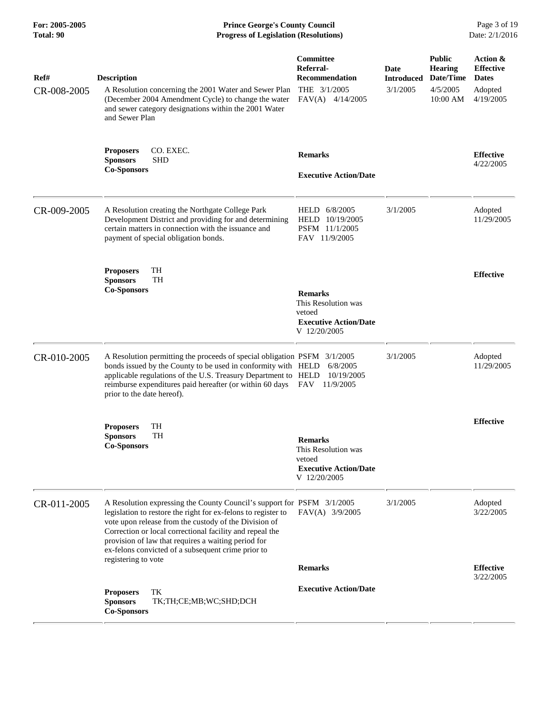| For: 2005-2005<br><b>Total: 90</b> | <b>Prince George's County Council</b><br>Date: 2/1/2016<br><b>Progress of Legislation (Resolutions)</b>                                                                                                                                                                                                                                                                                          |                                                                                                 |                                       |                                                                      |                                                                      |
|------------------------------------|--------------------------------------------------------------------------------------------------------------------------------------------------------------------------------------------------------------------------------------------------------------------------------------------------------------------------------------------------------------------------------------------------|-------------------------------------------------------------------------------------------------|---------------------------------------|----------------------------------------------------------------------|----------------------------------------------------------------------|
| Ref#<br>CR-008-2005                | <b>Description</b><br>A Resolution concerning the 2001 Water and Sewer Plan<br>(December 2004 Amendment Cycle) to change the water<br>and sewer category designations within the 2001 Water<br>and Sewer Plan                                                                                                                                                                                    | Committee<br>Referral-<br><b>Recommendation</b><br>THE $3/1/2005$<br>FAV(A)<br>4/14/2005        | Date<br><b>Introduced</b><br>3/1/2005 | <b>Public</b><br><b>Hearing</b><br>Date/Time<br>4/5/2005<br>10:00 AM | Action &<br><b>Effective</b><br><b>Dates</b><br>Adopted<br>4/19/2005 |
|                                    | CO. EXEC.<br><b>Proposers</b><br><b>Sponsors</b><br><b>SHD</b><br><b>Co-Sponsors</b>                                                                                                                                                                                                                                                                                                             | <b>Remarks</b><br><b>Executive Action/Date</b>                                                  |                                       |                                                                      | <b>Effective</b><br>4/22/2005                                        |
| CR-009-2005                        | A Resolution creating the Northgate College Park<br>Development District and providing for and determining<br>certain matters in connection with the issuance and<br>payment of special obligation bonds.                                                                                                                                                                                        | HELD 6/8/2005<br>HELD 10/19/2005<br>PSFM 11/1/2005<br>FAV 11/9/2005                             | 3/1/2005                              |                                                                      | Adopted<br>11/29/2005                                                |
|                                    | <b>Proposers</b><br>TH<br><b>TH</b><br><b>Sponsors</b><br><b>Co-Sponsors</b>                                                                                                                                                                                                                                                                                                                     | <b>Remarks</b><br>This Resolution was<br>vetoed<br><b>Executive Action/Date</b><br>V 12/20/2005 |                                       |                                                                      | <b>Effective</b>                                                     |
| CR-010-2005                        | A Resolution permitting the proceeds of special obligation PSFM 3/1/2005<br>bonds issued by the County to be used in conformity with HELD<br>applicable regulations of the U.S. Treasury Department to HELD<br>reimburse expenditures paid hereafter (or within 60 days<br>prior to the date hereof).                                                                                            | 6/8/2005<br>10/19/2005<br><b>FAV</b><br>11/9/2005                                               | 3/1/2005                              |                                                                      | Adopted<br>11/29/2005                                                |
|                                    | <b>Proposers</b><br>TH<br><b>Sponsors</b><br><b>TH</b><br><b>Co-Sponsors</b>                                                                                                                                                                                                                                                                                                                     | <b>Remarks</b><br>This Resolution was<br>vetoed<br><b>Executive Action/Date</b><br>V 12/20/2005 |                                       |                                                                      | <b>Effective</b>                                                     |
| CR-011-2005                        | A Resolution expressing the County Council's support for PSFM 3/1/2005<br>legislation to restore the right for ex-felons to register to<br>vote upon release from the custody of the Division of<br>Correction or local correctional facility and repeal the<br>provision of law that requires a waiting period for<br>ex-felons convicted of a subsequent crime prior to<br>registering to vote | FAV(A) 3/9/2005                                                                                 | 3/1/2005                              |                                                                      | Adopted<br>3/22/2005                                                 |
|                                    | TK<br><b>Proposers</b><br>TK;TH;CE;MB;WC;SHD;DCH<br><b>Sponsors</b><br><b>Co-Sponsors</b>                                                                                                                                                                                                                                                                                                        | <b>Remarks</b><br><b>Executive Action/Date</b>                                                  |                                       |                                                                      | <b>Effective</b><br>3/22/2005                                        |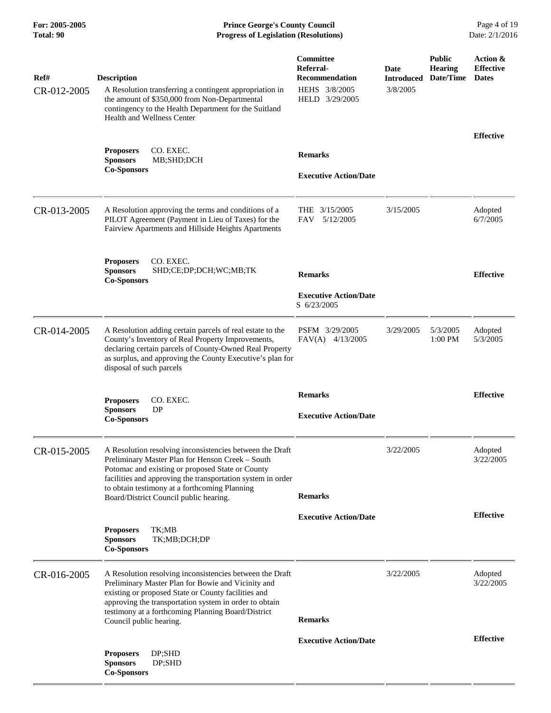**For: 2005-2005 Prince George's County Council** Page 4 of 19<br> **Prince George's County Council** Page 4 of 19<br> **Progress of Legislation (Resolutions)** Date: 2/1/2016 **Total: 90 Progress of Legislation (Resolutions)** 

| Ref#        | <b>Description</b>                                                                                                                                                                                                                                                                                               | Committee<br>Referral-<br><b>Recommendation</b> | Date<br><b>Introduced</b> | <b>Public</b><br><b>Hearing</b><br>Date/Time | Action &<br><b>Effective</b><br><b>Dates</b> |
|-------------|------------------------------------------------------------------------------------------------------------------------------------------------------------------------------------------------------------------------------------------------------------------------------------------------------------------|-------------------------------------------------|---------------------------|----------------------------------------------|----------------------------------------------|
| CR-012-2005 | A Resolution transferring a contingent appropriation in<br>the amount of \$350,000 from Non-Departmental<br>contingency to the Health Department for the Suitland<br><b>Health and Wellness Center</b>                                                                                                           | HEHS 3/8/2005<br>HELD 3/29/2005                 | 3/8/2005                  |                                              |                                              |
|             | CO. EXEC.<br><b>Proposers</b><br><b>Sponsors</b><br>MB;SHD;DCH<br><b>Co-Sponsors</b>                                                                                                                                                                                                                             | <b>Remarks</b>                                  |                           |                                              | <b>Effective</b>                             |
|             |                                                                                                                                                                                                                                                                                                                  | <b>Executive Action/Date</b>                    |                           |                                              |                                              |
| CR-013-2005 | A Resolution approving the terms and conditions of a<br>PILOT Agreement (Payment in Lieu of Taxes) for the<br>Fairview Apartments and Hillside Heights Apartments                                                                                                                                                | THE $3/15/2005$<br>5/12/2005<br><b>FAV</b>      | 3/15/2005                 |                                              | Adopted<br>6/7/2005                          |
|             | CO. EXEC.<br><b>Proposers</b><br><b>Sponsors</b><br>SHD;CE;DP;DCH;WC;MB;TK<br><b>Co-Sponsors</b>                                                                                                                                                                                                                 | <b>Remarks</b>                                  |                           |                                              | <b>Effective</b>                             |
|             |                                                                                                                                                                                                                                                                                                                  | <b>Executive Action/Date</b><br>S 6/23/2005     |                           |                                              |                                              |
| CR-014-2005 | A Resolution adding certain parcels of real estate to the<br>County's Inventory of Real Property Improvements,<br>declaring certain parcels of County-Owned Real Property<br>as surplus, and approving the County Executive's plan for<br>disposal of such parcels                                               | PSFM 3/29/2005<br>$FAV(A)$ 4/13/2005            | 3/29/2005                 | 5/3/2005<br>1:00 PM                          | Adopted<br>5/3/2005                          |
|             | CO. EXEC.<br><b>Proposers</b><br><b>Sponsors</b><br><b>DP</b><br><b>Co-Sponsors</b>                                                                                                                                                                                                                              | <b>Remarks</b><br><b>Executive Action/Date</b>  |                           |                                              | <b>Effective</b>                             |
| CR-015-2005 | A Resolution resolving inconsistencies between the Draft<br>Preliminary Master Plan for Henson Creek - South<br>Potomac and existing or proposed State or County<br>facilities and approving the transportation system in order<br>to obtain testimony at a forthcoming Planning                                 | <b>Remarks</b>                                  | 3/22/2005                 |                                              | Adopted<br>3/22/2005                         |
|             | Board/District Council public hearing.                                                                                                                                                                                                                                                                           | <b>Executive Action/Date</b>                    |                           |                                              | <b>Effective</b>                             |
|             | <b>Proposers</b><br>TK;MB<br><b>Sponsors</b><br>TK;MB;DCH;DP<br><b>Co-Sponsors</b>                                                                                                                                                                                                                               |                                                 |                           |                                              |                                              |
| CR-016-2005 | A Resolution resolving inconsistencies between the Draft<br>Preliminary Master Plan for Bowie and Vicinity and<br>existing or proposed State or County facilities and<br>approving the transportation system in order to obtain<br>testimony at a forthcoming Planning Board/District<br>Council public hearing. | <b>Remarks</b>                                  | 3/22/2005                 |                                              | Adopted<br>3/22/2005                         |
|             |                                                                                                                                                                                                                                                                                                                  | <b>Executive Action/Date</b>                    |                           |                                              | <b>Effective</b>                             |
|             | DP;SHD<br><b>Proposers</b><br><b>Sponsors</b><br>DP;SHD<br><b>Co-Sponsors</b>                                                                                                                                                                                                                                    |                                                 |                           |                                              |                                              |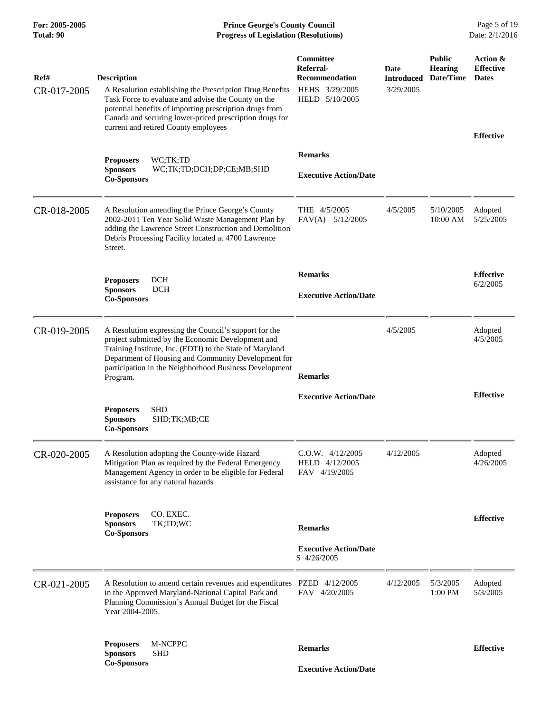**For: 2005-2005 Prince George's County Council** Page 5 of 19<br> **Prince George's County Council** Page 5 of 19<br> **Progress of Legislation (Resolutions)** Date: 2/1/2016 **Total: 90 Progress of Legislation (Resolutions)** 

| Ref#<br>CR-017-2005 | <b>Description</b><br>A Resolution establishing the Prescription Drug Benefits<br>Task Force to evaluate and advise the County on the<br>potential benefits of importing prescription drugs from<br>Canada and securing lower-priced prescription drugs for<br>current and retired County employees | Committee<br>Referral-<br><b>Recommendation</b><br>HEHS 3/29/2005<br>HELD 5/10/2005 | Date<br><b>Introduced</b><br>3/29/2005 | <b>Public</b><br><b>Hearing</b><br>Date/Time | Action &<br><b>Effective</b><br><b>Dates</b><br><b>Effective</b> |
|---------------------|-----------------------------------------------------------------------------------------------------------------------------------------------------------------------------------------------------------------------------------------------------------------------------------------------------|-------------------------------------------------------------------------------------|----------------------------------------|----------------------------------------------|------------------------------------------------------------------|
|                     | <b>Proposers</b><br>WC;TK;TD<br><b>Sponsors</b><br>WC;TK;TD;DCH;DP;CE;MB;SHD<br><b>Co-Sponsors</b>                                                                                                                                                                                                  | <b>Remarks</b><br><b>Executive Action/Date</b>                                      |                                        |                                              |                                                                  |
| CR-018-2005         | A Resolution amending the Prince George's County<br>2002-2011 Ten Year Solid Waste Management Plan by<br>adding the Lawrence Street Construction and Demolition<br>Debris Processing Facility located at 4700 Lawrence<br>Street.                                                                   | THE 4/5/2005<br>$FAV(A)$ 5/12/2005                                                  | 4/5/2005                               | 5/10/2005<br>10:00 AM                        | Adopted<br>5/25/2005                                             |
|                     | <b>DCH</b><br><b>Proposers</b><br><b>Sponsors</b><br><b>DCH</b><br><b>Co-Sponsors</b>                                                                                                                                                                                                               | <b>Remarks</b><br><b>Executive Action/Date</b>                                      |                                        |                                              | <b>Effective</b><br>6/2/2005                                     |
| CR-019-2005         | A Resolution expressing the Council's support for the<br>project submitted by the Economic Development and<br>Training Institute, Inc. (EDTI) to the State of Maryland<br>Department of Housing and Community Development for<br>participation in the Neighborhood Business Development<br>Program. | <b>Remarks</b>                                                                      | 4/5/2005                               |                                              | Adopted<br>4/5/2005                                              |
|                     | <b>SHD</b><br><b>Proposers</b><br><b>Sponsors</b><br>SHD;TK;MB;CE<br><b>Co-Sponsors</b>                                                                                                                                                                                                             | <b>Executive Action/Date</b>                                                        |                                        |                                              | <b>Effective</b>                                                 |
| CR-020-2005         | A Resolution adopting the County-wide Hazard<br>Mitigation Plan as required by the Federal Emergency<br>Management Agency in order to be eligible for Federal<br>assistance for any natural hazards                                                                                                 | C.O.W. 4/12/2005<br>HELD 4/12/2005<br>FAV 4/19/2005                                 | 4/12/2005                              |                                              | Adopted<br>4/26/2005                                             |
|                     | <b>Proposers</b><br>CO. EXEC.<br><b>Sponsors</b><br>TK;TD;WC<br><b>Co-Sponsors</b>                                                                                                                                                                                                                  | <b>Remarks</b><br><b>Executive Action/Date</b><br>S 4/26/2005                       |                                        |                                              | <b>Effective</b>                                                 |
| CR-021-2005         | A Resolution to amend certain revenues and expenditures PZED 4/12/2005<br>in the Approved Maryland-National Capital Park and<br>Planning Commission's Annual Budget for the Fiscal<br>Year 2004-2005.                                                                                               | FAV 4/20/2005                                                                       | 4/12/2005                              | 5/3/2005<br>1:00 PM                          | Adopted<br>5/3/2005                                              |
|                     | <b>Proposers</b><br>M-NCPPC<br><b>Sponsors</b><br>SHD<br><b>Co-Sponsors</b>                                                                                                                                                                                                                         | <b>Remarks</b><br><b>Executive Action/Date</b>                                      |                                        |                                              | <b>Effective</b>                                                 |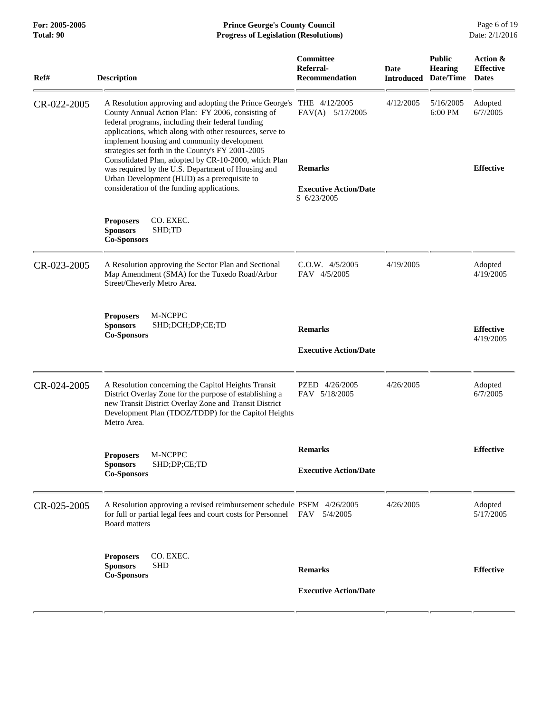| Total: 90   | <b>Progress of Legislation (Resolutions)</b>                                                                                                                                                                                                                                                                                      |                                                               |                                  |                                              |                                              |
|-------------|-----------------------------------------------------------------------------------------------------------------------------------------------------------------------------------------------------------------------------------------------------------------------------------------------------------------------------------|---------------------------------------------------------------|----------------------------------|----------------------------------------------|----------------------------------------------|
| Ref#        | <b>Description</b>                                                                                                                                                                                                                                                                                                                | Committee<br>Referral-<br><b>Recommendation</b>               | <b>Date</b><br><b>Introduced</b> | <b>Public</b><br><b>Hearing</b><br>Date/Time | Action &<br><b>Effective</b><br><b>Dates</b> |
| CR-022-2005 | A Resolution approving and adopting the Prince George's<br>County Annual Action Plan: FY 2006, consisting of<br>federal programs, including their federal funding<br>applications, which along with other resources, serve to<br>implement housing and community development<br>strategies set forth in the County's FY 2001-2005 | THE 4/12/2005<br>FAV(A) 5/17/2005                             | 4/12/2005                        | 5/16/2005<br>6:00 PM                         | Adopted<br>6/7/2005                          |
|             | Consolidated Plan, adopted by CR-10-2000, which Plan<br>was required by the U.S. Department of Housing and<br>Urban Development (HUD) as a prerequisite to<br>consideration of the funding applications.                                                                                                                          | <b>Remarks</b><br><b>Executive Action/Date</b><br>S 6/23/2005 |                                  |                                              | <b>Effective</b>                             |
|             | CO. EXEC.<br><b>Proposers</b><br><b>Sponsors</b><br>SHD;TD<br><b>Co-Sponsors</b>                                                                                                                                                                                                                                                  |                                                               |                                  |                                              |                                              |
| CR-023-2005 | A Resolution approving the Sector Plan and Sectional<br>Map Amendment (SMA) for the Tuxedo Road/Arbor<br>Street/Cheverly Metro Area.                                                                                                                                                                                              | $C.O.W.$ 4/5/2005<br>FAV 4/5/2005                             | 4/19/2005                        |                                              | Adopted<br>4/19/2005                         |
|             | M-NCPPC<br><b>Proposers</b><br><b>Sponsors</b><br>SHD;DCH;DP;CE;TD<br><b>Co-Sponsors</b>                                                                                                                                                                                                                                          | <b>Remarks</b><br><b>Executive Action/Date</b>                |                                  |                                              | <b>Effective</b><br>4/19/2005                |
| CR-024-2005 | A Resolution concerning the Capitol Heights Transit<br>District Overlay Zone for the purpose of establishing a<br>new Transit District Overlay Zone and Transit District<br>Development Plan (TDOZ/TDDP) for the Capitol Heights<br>Metro Area.                                                                                   | PZED 4/26/2005<br>FAV 5/18/2005                               | 4/26/2005                        |                                              | Adopted<br>6/7/2005                          |
|             | M-NCPPC<br><b>Proposers</b><br>SHD;DP;CE;TD<br><b>Sponsors</b><br><b>Co-Sponsors</b>                                                                                                                                                                                                                                              | <b>Remarks</b><br><b>Executive Action/Date</b>                |                                  |                                              | <b>Effective</b>                             |
| CR-025-2005 | A Resolution approving a revised reimbursement schedule PSFM 4/26/2005<br>for full or partial legal fees and court costs for Personnel<br>Board matters                                                                                                                                                                           | FAV 5/4/2005                                                  | 4/26/2005                        |                                              | Adopted<br>5/17/2005                         |
|             | CO. EXEC.<br><b>Proposers</b><br><b>SHD</b><br><b>Sponsors</b><br><b>Co-Sponsors</b>                                                                                                                                                                                                                                              | <b>Remarks</b><br><b>Executive Action/Date</b>                |                                  |                                              | <b>Effective</b>                             |
|             |                                                                                                                                                                                                                                                                                                                                   |                                                               |                                  |                                              |                                              |

**For: 2005-2005 Prince George's County Council** Page 6 of 19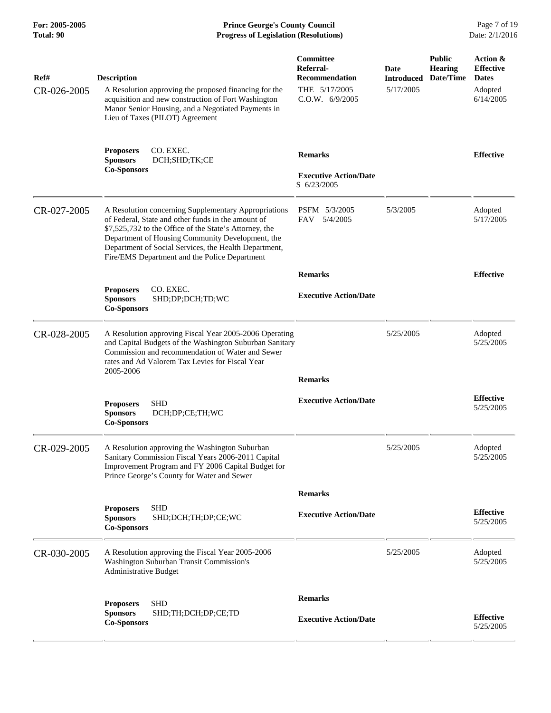**For: 2005-2005 Prince George's County Council** Page 7 of 19<br> **Prince George's County Council** Page 7 of 19<br> **Progress of Legislation (Resolutions)** Date: 2/1/2016 **Total: 90 Progress of Legislation (Resolutions)** 

| Ref#<br>CR-026-2005 | <b>Description</b><br>A Resolution approving the proposed financing for the                                                                                                                                                                                                                                                        | Committee<br>Referral-<br><b>Recommendation</b><br>THE 5/17/2005 | Date<br>Introduced<br>5/17/2005 | <b>Public</b><br><b>Hearing</b><br>Date/Time | Action &<br><b>Effective</b><br><b>Dates</b><br>Adopted |
|---------------------|------------------------------------------------------------------------------------------------------------------------------------------------------------------------------------------------------------------------------------------------------------------------------------------------------------------------------------|------------------------------------------------------------------|---------------------------------|----------------------------------------------|---------------------------------------------------------|
|                     | acquisition and new construction of Fort Washington<br>Manor Senior Housing, and a Negotiated Payments in<br>Lieu of Taxes (PILOT) Agreement                                                                                                                                                                                       | C.O.W. 6/9/2005                                                  |                                 |                                              | 6/14/2005                                               |
|                     | CO. EXEC.<br><b>Proposers</b><br><b>Sponsors</b><br>DCH;SHD;TK;CE<br><b>Co-Sponsors</b>                                                                                                                                                                                                                                            | <b>Remarks</b><br><b>Executive Action/Date</b>                   |                                 |                                              | <b>Effective</b>                                        |
|                     |                                                                                                                                                                                                                                                                                                                                    | S 6/23/2005                                                      |                                 |                                              |                                                         |
| CR-027-2005         | A Resolution concerning Supplementary Appropriations<br>of Federal, State and other funds in the amount of<br>\$7,525,732 to the Office of the State's Attorney, the<br>Department of Housing Community Development, the<br>Department of Social Services, the Health Department,<br>Fire/EMS Department and the Police Department | PSFM 5/3/2005<br>5/4/2005<br>FAV                                 | 5/3/2005                        |                                              | Adopted<br>5/17/2005                                    |
|                     |                                                                                                                                                                                                                                                                                                                                    | <b>Remarks</b>                                                   |                                 |                                              | <b>Effective</b>                                        |
|                     | CO. EXEC.<br><b>Proposers</b><br><b>Sponsors</b><br>SHD;DP;DCH;TD;WC<br><b>Co-Sponsors</b>                                                                                                                                                                                                                                         | <b>Executive Action/Date</b>                                     |                                 |                                              |                                                         |
| CR-028-2005         | A Resolution approving Fiscal Year 2005-2006 Operating<br>and Capital Budgets of the Washington Suburban Sanitary<br>Commission and recommendation of Water and Sewer<br>rates and Ad Valorem Tax Levies for Fiscal Year<br>2005-2006                                                                                              |                                                                  | 5/25/2005                       |                                              | Adopted<br>5/25/2005                                    |
|                     |                                                                                                                                                                                                                                                                                                                                    | <b>Remarks</b>                                                   |                                 |                                              |                                                         |
|                     | <b>SHD</b><br><b>Proposers</b><br><b>Sponsors</b><br>DCH;DP;CE;TH;WC<br><b>Co-Sponsors</b>                                                                                                                                                                                                                                         | <b>Executive Action/Date</b>                                     |                                 |                                              | <b>Effective</b><br>5/25/2005                           |
| CR-029-2005         | A Resolution approving the Washington Suburban<br>Sanitary Commission Fiscal Years 2006-2011 Capital<br>Improvement Program and FY 2006 Capital Budget for<br>Prince George's County for Water and Sewer                                                                                                                           |                                                                  | 5/25/2005                       |                                              | Adopted<br>5/25/2005                                    |
|                     |                                                                                                                                                                                                                                                                                                                                    | <b>Remarks</b>                                                   |                                 |                                              |                                                         |
|                     | <b>SHD</b><br><b>Proposers</b><br>SHD;DCH;TH;DP;CE;WC<br><b>Sponsors</b><br><b>Co-Sponsors</b>                                                                                                                                                                                                                                     | <b>Executive Action/Date</b>                                     |                                 |                                              | <b>Effective</b><br>5/25/2005                           |
| CR-030-2005         | A Resolution approving the Fiscal Year 2005-2006<br>Washington Suburban Transit Commission's<br>Administrative Budget                                                                                                                                                                                                              |                                                                  | 5/25/2005                       |                                              | Adopted<br>5/25/2005                                    |
|                     | <b>SHD</b><br><b>Proposers</b>                                                                                                                                                                                                                                                                                                     | <b>Remarks</b>                                                   |                                 |                                              |                                                         |
|                     | <b>Sponsors</b><br>SHD;TH;DCH;DP;CE;TD<br><b>Co-Sponsors</b>                                                                                                                                                                                                                                                                       | <b>Executive Action/Date</b>                                     |                                 |                                              | <b>Effective</b><br>5/25/2005                           |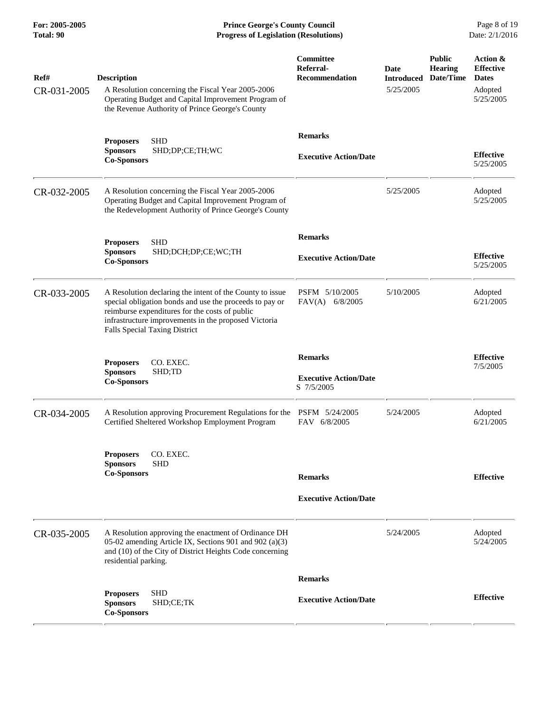**For: 2005-2005 Prince George's County Council** Page 8 of 19<br> **Prince George's County Council** Page 8 of 19<br> **Progress of Legislation (Resolutions)** Date: 2/1/2016 **Total: 90 Progress of Legislation (Resolutions)** 

| Ref#<br>CR-031-2005 | <b>Description</b><br>A Resolution concerning the Fiscal Year 2005-2006<br>Operating Budget and Capital Improvement Program of<br>the Revenue Authority of Prince George's County                                                                                     | Committee<br>Referral-<br><b>Recommendation</b>              | Date<br><b>Introduced</b><br>5/25/2005 | <b>Public</b><br><b>Hearing</b><br>Date/Time | Action &<br><b>Effective</b><br><b>Dates</b><br>Adopted<br>5/25/2005 |
|---------------------|-----------------------------------------------------------------------------------------------------------------------------------------------------------------------------------------------------------------------------------------------------------------------|--------------------------------------------------------------|----------------------------------------|----------------------------------------------|----------------------------------------------------------------------|
|                     | <b>SHD</b><br><b>Proposers</b><br>SHD;DP;CE;TH;WC<br><b>Sponsors</b><br><b>Co-Sponsors</b>                                                                                                                                                                            | <b>Remarks</b><br><b>Executive Action/Date</b>               |                                        |                                              | <b>Effective</b><br>5/25/2005                                        |
| CR-032-2005         | A Resolution concerning the Fiscal Year 2005-2006<br>Operating Budget and Capital Improvement Program of<br>the Redevelopment Authority of Prince George's County                                                                                                     |                                                              | 5/25/2005                              |                                              | Adopted<br>5/25/2005                                                 |
|                     | <b>SHD</b><br><b>Proposers</b><br><b>Sponsors</b><br>SHD;DCH;DP;CE;WC;TH<br><b>Co-Sponsors</b>                                                                                                                                                                        | <b>Remarks</b><br><b>Executive Action/Date</b>               |                                        |                                              | <b>Effective</b><br>5/25/2005                                        |
| CR-033-2005         | A Resolution declaring the intent of the County to issue<br>special obligation bonds and use the proceeds to pay or<br>reimburse expenditures for the costs of public<br>infrastructure improvements in the proposed Victoria<br><b>Falls Special Taxing District</b> | PSFM 5/10/2005<br>FAV(A) 6/8/2005                            | 5/10/2005                              |                                              | Adopted<br>6/21/2005                                                 |
|                     | CO. EXEC.<br><b>Proposers</b><br>SHD;TD<br><b>Sponsors</b><br><b>Co-Sponsors</b>                                                                                                                                                                                      | <b>Remarks</b><br><b>Executive Action/Date</b><br>S 7/5/2005 |                                        |                                              | <b>Effective</b><br>7/5/2005                                         |
| CR-034-2005         | A Resolution approving Procurement Regulations for the<br>Certified Sheltered Workshop Employment Program                                                                                                                                                             | PSFM 5/24/2005<br>FAV 6/8/2005                               | 5/24/2005                              |                                              | Adopted<br>6/21/2005                                                 |
|                     | CO. EXEC.<br>Proposers<br><b>SHD</b><br><b>Sponsors</b><br><b>Co-Sponsors</b>                                                                                                                                                                                         | <b>Remarks</b><br><b>Executive Action/Date</b>               |                                        |                                              | <b>Effective</b>                                                     |
| CR-035-2005         | A Resolution approving the enactment of Ordinance DH<br>05-02 amending Article IX, Sections 901 and 902 (a)(3)<br>and (10) of the City of District Heights Code concerning<br>residential parking.                                                                    |                                                              | 5/24/2005                              |                                              | Adopted<br>5/24/2005                                                 |
|                     |                                                                                                                                                                                                                                                                       | <b>Remarks</b>                                               |                                        |                                              |                                                                      |
|                     | <b>SHD</b><br><b>Proposers</b><br><b>Sponsors</b><br>SHD;CE;TK<br><b>Co-Sponsors</b>                                                                                                                                                                                  | <b>Executive Action/Date</b>                                 |                                        |                                              | <b>Effective</b>                                                     |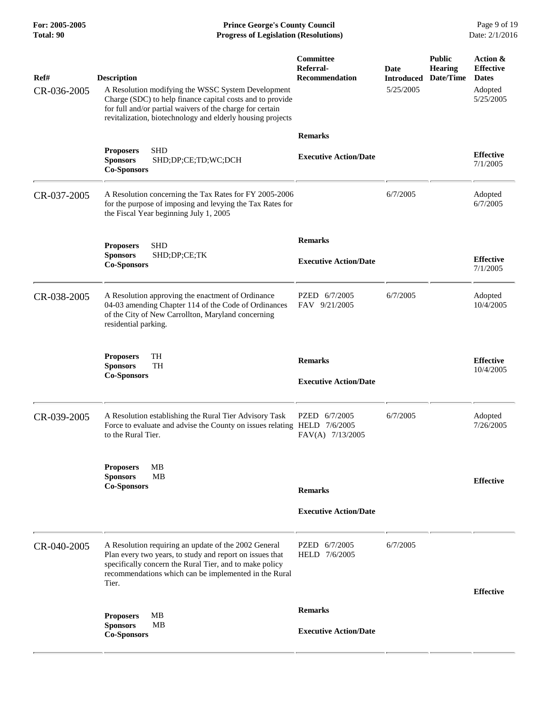**For: 2005-2005 Prince George's County Council** Page 9 of 19<br> **Prince George's County Council** Page 9 of 19<br> **Progress of Legislation (Resolutions)** Date: 2/1/2016 **Total: 90 Progress of Legislation (Resolutions)** 

| Ref#<br>CR-036-2005 | <b>Description</b><br>A Resolution modifying the WSSC System Development<br>Charge (SDC) to help finance capital costs and to provide<br>for full and/or partial waivers of the charge for certain<br>revitalization, biotechnology and elderly housing projects | Committee<br>Referral-<br><b>Recommendation</b> | Date<br><b>Introduced</b><br>5/25/2005 | <b>Public</b><br><b>Hearing</b><br>Date/Time | Action &<br><b>Effective</b><br><b>Dates</b><br>Adopted<br>5/25/2005 |
|---------------------|------------------------------------------------------------------------------------------------------------------------------------------------------------------------------------------------------------------------------------------------------------------|-------------------------------------------------|----------------------------------------|----------------------------------------------|----------------------------------------------------------------------|
|                     |                                                                                                                                                                                                                                                                  | <b>Remarks</b>                                  |                                        |                                              |                                                                      |
|                     | <b>SHD</b><br><b>Proposers</b><br><b>Sponsors</b><br>SHD;DP;CE;TD;WC;DCH<br><b>Co-Sponsors</b>                                                                                                                                                                   | <b>Executive Action/Date</b>                    |                                        |                                              | <b>Effective</b><br>7/1/2005                                         |
| CR-037-2005         | A Resolution concerning the Tax Rates for FY 2005-2006<br>for the purpose of imposing and levying the Tax Rates for<br>the Fiscal Year beginning July 1, 2005                                                                                                    |                                                 | 6/7/2005                               |                                              | Adopted<br>6/7/2005                                                  |
|                     | <b>SHD</b>                                                                                                                                                                                                                                                       | <b>Remarks</b>                                  |                                        |                                              |                                                                      |
|                     | <b>Proposers</b><br><b>Sponsors</b><br>SHD;DP;CE;TK<br><b>Co-Sponsors</b>                                                                                                                                                                                        | <b>Executive Action/Date</b>                    |                                        |                                              | <b>Effective</b><br>7/1/2005                                         |
| CR-038-2005         | A Resolution approving the enactment of Ordinance<br>04-03 amending Chapter 114 of the Code of Ordinances<br>of the City of New Carrollton, Maryland concerning<br>residential parking.                                                                          | PZED 6/7/2005<br>FAV 9/21/2005                  | 6/7/2005                               |                                              | Adopted<br>10/4/2005                                                 |
|                     | TH<br><b>Proposers</b><br><b>Sponsors</b><br>TH<br><b>Co-Sponsors</b>                                                                                                                                                                                            | <b>Remarks</b><br><b>Executive Action/Date</b>  |                                        |                                              | <b>Effective</b><br>10/4/2005                                        |
| CR-039-2005         | A Resolution establishing the Rural Tier Advisory Task<br>Force to evaluate and advise the County on issues relating HELD 7/6/2005<br>to the Rural Tier.                                                                                                         | PZED 6/7/2005<br>FAV(A) 7/13/2005               | 6/7/2005                               |                                              | Adopted<br>7/26/2005                                                 |
|                     | <b>MB</b><br><b>Proposers</b><br><b>Sponsors</b><br><b>MB</b><br><b>Co-Sponsors</b>                                                                                                                                                                              | <b>Remarks</b>                                  |                                        |                                              | <b>Effective</b>                                                     |
|                     |                                                                                                                                                                                                                                                                  | <b>Executive Action/Date</b>                    |                                        |                                              |                                                                      |
| CR-040-2005         | A Resolution requiring an update of the 2002 General<br>Plan every two years, to study and report on issues that<br>specifically concern the Rural Tier, and to make policy<br>recommendations which can be implemented in the Rural<br>Tier.                    | PZED 6/7/2005<br>HELD 7/6/2005                  | 6/7/2005                               |                                              |                                                                      |
|                     |                                                                                                                                                                                                                                                                  |                                                 |                                        |                                              | <b>Effective</b>                                                     |
|                     | MВ<br><b>Proposers</b>                                                                                                                                                                                                                                           | <b>Remarks</b>                                  |                                        |                                              |                                                                      |
|                     | <b>Sponsors</b><br>MB<br><b>Co-Sponsors</b>                                                                                                                                                                                                                      | <b>Executive Action/Date</b>                    |                                        |                                              |                                                                      |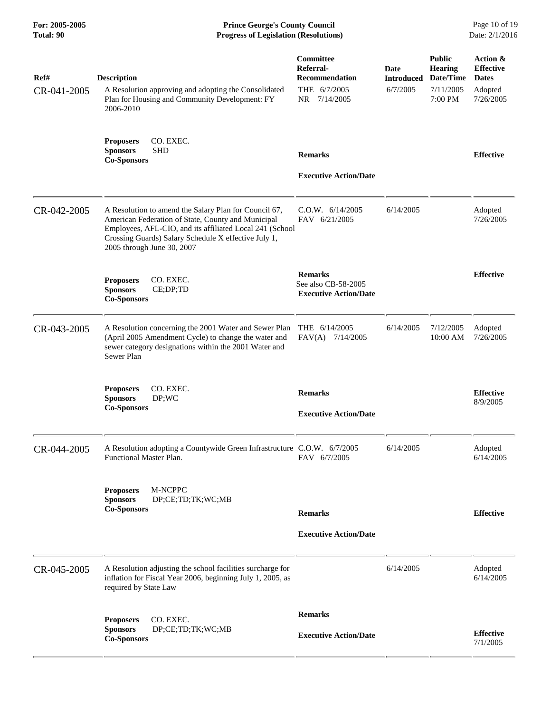| For: 2005-2005<br>Total: 90 | <b>Prince George's County Council</b><br>Date: 2/1/2016<br><b>Progress of Legislation (Resolutions)</b>                                                                                                                                                       |                                                                                        |                                       |                                                                      |                                                                      |
|-----------------------------|---------------------------------------------------------------------------------------------------------------------------------------------------------------------------------------------------------------------------------------------------------------|----------------------------------------------------------------------------------------|---------------------------------------|----------------------------------------------------------------------|----------------------------------------------------------------------|
| Ref#<br>CR-041-2005         | <b>Description</b><br>A Resolution approving and adopting the Consolidated<br>Plan for Housing and Community Development: FY<br>2006-2010                                                                                                                     | <b>Committee</b><br>Referral-<br><b>Recommendation</b><br>THE 6/7/2005<br>NR 7/14/2005 | Date<br><b>Introduced</b><br>6/7/2005 | <b>Public</b><br><b>Hearing</b><br>Date/Time<br>7/11/2005<br>7:00 PM | Action &<br><b>Effective</b><br><b>Dates</b><br>Adopted<br>7/26/2005 |
|                             | CO. EXEC.<br><b>Proposers</b><br><b>SHD</b><br><b>Sponsors</b><br><b>Co-Sponsors</b>                                                                                                                                                                          | <b>Remarks</b><br><b>Executive Action/Date</b>                                         |                                       |                                                                      | <b>Effective</b>                                                     |
| CR-042-2005                 | A Resolution to amend the Salary Plan for Council 67,<br>American Federation of State, County and Municipal<br>Employees, AFL-CIO, and its affiliated Local 241 (School<br>Crossing Guards) Salary Schedule X effective July 1,<br>2005 through June 30, 2007 | C.0.W. 6/14/2005<br>FAV 6/21/2005                                                      | 6/14/2005                             |                                                                      | Adopted<br>7/26/2005                                                 |
|                             | CO. EXEC.<br><b>Proposers</b><br><b>Sponsors</b><br>CE;DP;TD<br><b>Co-Sponsors</b>                                                                                                                                                                            | <b>Remarks</b><br>See also CB-58-2005<br><b>Executive Action/Date</b>                  |                                       |                                                                      | <b>Effective</b>                                                     |
| CR-043-2005                 | A Resolution concerning the 2001 Water and Sewer Plan<br>(April 2005 Amendment Cycle) to change the water and<br>sewer category designations within the 2001 Water and<br>Sewer Plan                                                                          | THE 6/14/2005<br>FAV(A) 7/14/2005                                                      | 6/14/2005                             | 7/12/2005<br>10:00 AM                                                | Adopted<br>7/26/2005                                                 |
|                             | CO. EXEC.<br><b>Proposers</b><br><b>Sponsors</b><br>DP;WC<br><b>Co-Sponsors</b>                                                                                                                                                                               | <b>Remarks</b><br><b>Executive Action/Date</b>                                         |                                       |                                                                      | <b>Effective</b><br>8/9/2005                                         |
| CR-044-2005                 | A Resolution adopting a Countywide Green Infrastructure C.O.W. 6/7/2005<br>Functional Master Plan.                                                                                                                                                            | FAV 6/7/2005                                                                           | 6/14/2005                             |                                                                      | Adopted<br>6/14/2005                                                 |
|                             | M-NCPPC<br><b>Proposers</b><br>DP;CE;TD;TK;WC;MB<br><b>Sponsors</b><br><b>Co-Sponsors</b>                                                                                                                                                                     | <b>Remarks</b><br><b>Executive Action/Date</b>                                         |                                       |                                                                      | <b>Effective</b>                                                     |
| CR-045-2005                 | A Resolution adjusting the school facilities surcharge for<br>inflation for Fiscal Year 2006, beginning July 1, 2005, as<br>required by State Law                                                                                                             |                                                                                        | 6/14/2005                             |                                                                      | Adopted<br>6/14/2005                                                 |
|                             | CO. EXEC.<br><b>Proposers</b><br><b>Sponsors</b><br>DP;CE;TD;TK;WC;MB<br><b>Co-Sponsors</b>                                                                                                                                                                   | <b>Remarks</b><br><b>Executive Action/Date</b>                                         |                                       |                                                                      | <b>Effective</b><br>7/1/2005                                         |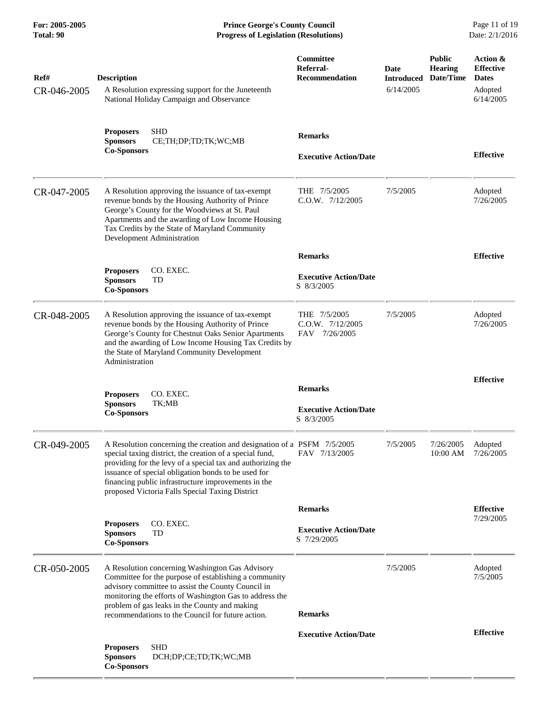**For: 2005-2005 Prince George's County Council** Page 11 of 19<br> **Prince George's County Council** Page 11 of 19<br> **Progress of Legislation (Resolutions)** Date: 2/1/2016 **Total: 90 Progress of Legislation (Resolutions)** 

| Ref#        | <b>Description</b>                                                                                                                                                                                                                                                                                                                                                  | Committee<br>Referral-<br><b>Recommendation</b>   | Date<br><b>Introduced</b> | <b>Public</b><br><b>Hearing</b><br>Date/Time | Action &<br><b>Effective</b><br><b>Dates</b> |
|-------------|---------------------------------------------------------------------------------------------------------------------------------------------------------------------------------------------------------------------------------------------------------------------------------------------------------------------------------------------------------------------|---------------------------------------------------|---------------------------|----------------------------------------------|----------------------------------------------|
| CR-046-2005 | A Resolution expressing support for the Juneteenth<br>National Holiday Campaign and Observance                                                                                                                                                                                                                                                                      |                                                   | 6/14/2005                 |                                              | Adopted<br>6/14/2005                         |
|             | <b>SHD</b><br><b>Proposers</b><br><b>Sponsors</b><br>CE;TH;DP;TD;TK;WC;MB<br><b>Co-Sponsors</b>                                                                                                                                                                                                                                                                     | <b>Remarks</b>                                    |                           |                                              |                                              |
|             |                                                                                                                                                                                                                                                                                                                                                                     | <b>Executive Action/Date</b>                      |                           |                                              | <b>Effective</b>                             |
| CR-047-2005 | A Resolution approving the issuance of tax-exempt<br>revenue bonds by the Housing Authority of Prince<br>George's County for the Woodviews at St. Paul<br>Apartments and the awarding of Low Income Housing<br>Tax Credits by the State of Maryland Community<br>Development Administration                                                                         | THE 7/5/2005<br>C.O.W. 7/12/2005                  | 7/5/2005                  |                                              | Adopted<br>7/26/2005                         |
|             |                                                                                                                                                                                                                                                                                                                                                                     | <b>Remarks</b>                                    |                           |                                              | <b>Effective</b>                             |
|             | CO. EXEC.<br><b>Proposers</b><br>TD<br><b>Sponsors</b><br><b>Co-Sponsors</b>                                                                                                                                                                                                                                                                                        | <b>Executive Action/Date</b><br>S 8/3/2005        |                           |                                              |                                              |
| CR-048-2005 | A Resolution approving the issuance of tax-exempt<br>revenue bonds by the Housing Authority of Prince<br>George's County for Chestnut Oaks Senior Apartments<br>and the awarding of Low Income Housing Tax Credits by<br>the State of Maryland Community Development<br>Administration                                                                              | THE 7/5/2005<br>C.O.W. 7/12/2005<br>FAV 7/26/2005 | 7/5/2005                  |                                              | Adopted<br>7/26/2005                         |
|             |                                                                                                                                                                                                                                                                                                                                                                     |                                                   |                           |                                              | <b>Effective</b>                             |
|             | CO. EXEC.<br><b>Proposers</b>                                                                                                                                                                                                                                                                                                                                       | <b>Remarks</b>                                    |                           |                                              |                                              |
|             | <b>Sponsors</b><br>TK;MB<br><b>Co-Sponsors</b>                                                                                                                                                                                                                                                                                                                      | <b>Executive Action/Date</b><br>S 8/3/2005        |                           |                                              |                                              |
| CR-049-2005 | A Resolution concerning the creation and designation of a PSFM 7/5/2005<br>special taxing district, the creation of a special fund,<br>providing for the levy of a special tax and authorizing the<br>issuance of special obligation bonds to be used for<br>financing public infrastructure improvements in the<br>proposed Victoria Falls Special Taxing District | FAV 7/13/2005                                     | 7/5/2005                  | 7/26/2005<br>10:00 AM                        | Adopted<br>7/26/2005                         |
|             |                                                                                                                                                                                                                                                                                                                                                                     | <b>Remarks</b>                                    |                           |                                              | <b>Effective</b>                             |
|             | CO. EXEC.<br><b>Proposers</b>                                                                                                                                                                                                                                                                                                                                       | <b>Executive Action/Date</b>                      |                           |                                              | 7/29/2005                                    |
|             | <b>Sponsors</b><br>TD<br><b>Co-Sponsors</b>                                                                                                                                                                                                                                                                                                                         | S 7/29/2005                                       |                           |                                              |                                              |
| CR-050-2005 | A Resolution concerning Washington Gas Advisory<br>Committee for the purpose of establishing a community<br>advisory committee to assist the County Council in<br>monitoring the efforts of Washington Gas to address the<br>problem of gas leaks in the County and making                                                                                          |                                                   | 7/5/2005                  |                                              | Adopted<br>7/5/2005                          |
|             | recommendations to the Council for future action.                                                                                                                                                                                                                                                                                                                   | <b>Remarks</b>                                    |                           |                                              |                                              |
|             |                                                                                                                                                                                                                                                                                                                                                                     | <b>Executive Action/Date</b>                      |                           |                                              | <b>Effective</b>                             |
|             | <b>SHD</b><br><b>Proposers</b><br><b>Sponsors</b><br>DCH;DP;CE;TD;TK;WC;MB<br><b>Co-Sponsors</b>                                                                                                                                                                                                                                                                    |                                                   |                           |                                              |                                              |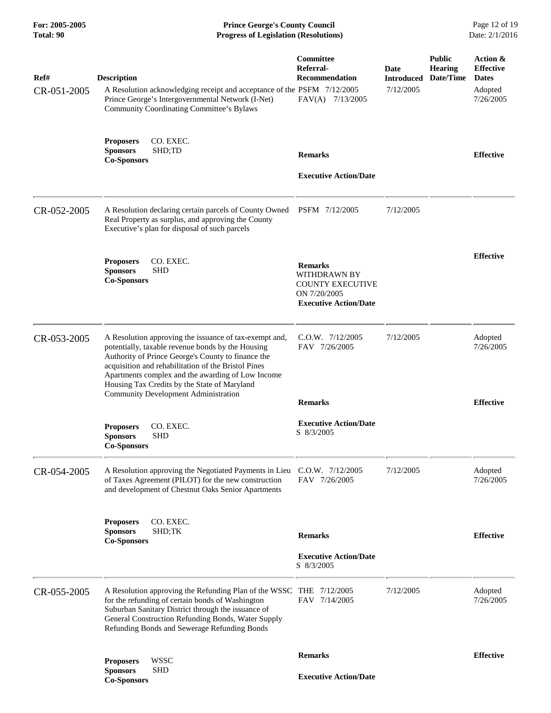| For: 2005-2005<br><b>Total: 90</b> | <b>Prince George's County Council</b><br><b>Progress of Legislation (Resolutions)</b>                                                                                                                                                                                                                                                                                        |                                                                                                                  |                                        |                                              | Page 12 of 19<br>Date: 2/1/2016                                      |
|------------------------------------|------------------------------------------------------------------------------------------------------------------------------------------------------------------------------------------------------------------------------------------------------------------------------------------------------------------------------------------------------------------------------|------------------------------------------------------------------------------------------------------------------|----------------------------------------|----------------------------------------------|----------------------------------------------------------------------|
| Ref#<br>CR-051-2005                | <b>Description</b><br>A Resolution acknowledging receipt and acceptance of the PSFM 7/12/2005<br>Prince George's Intergovernmental Network (I-Net)<br>Community Coordinating Committee's Bylaws                                                                                                                                                                              | Committee<br>Referral-<br>Recommendation<br>FAV(A) 7/13/2005                                                     | Date<br><b>Introduced</b><br>7/12/2005 | <b>Public</b><br><b>Hearing</b><br>Date/Time | Action &<br><b>Effective</b><br><b>Dates</b><br>Adopted<br>7/26/2005 |
|                                    | <b>Proposers</b><br>CO. EXEC.<br><b>Sponsors</b><br>SHD;TD<br><b>Co-Sponsors</b>                                                                                                                                                                                                                                                                                             | <b>Remarks</b><br><b>Executive Action/Date</b>                                                                   |                                        |                                              | <b>Effective</b>                                                     |
| CR-052-2005                        | A Resolution declaring certain parcels of County Owned PSFM 7/12/2005<br>Real Property as surplus, and approving the County<br>Executive's plan for disposal of such parcels                                                                                                                                                                                                 |                                                                                                                  | 7/12/2005                              |                                              |                                                                      |
|                                    | CO. EXEC.<br><b>Proposers</b><br><b>Sponsors</b><br><b>SHD</b><br><b>Co-Sponsors</b>                                                                                                                                                                                                                                                                                         | <b>Remarks</b><br><b>WITHDRAWN BY</b><br><b>COUNTY EXECUTIVE</b><br>ON 7/20/2005<br><b>Executive Action/Date</b> |                                        |                                              | <b>Effective</b>                                                     |
| CR-053-2005                        | A Resolution approving the issuance of tax-exempt and,<br>potentially, taxable revenue bonds by the Housing<br>Authority of Prince George's County to finance the<br>acquisition and rehabilitation of the Bristol Pines<br>Apartments complex and the awarding of Low Income<br>Housing Tax Credits by the State of Maryland<br><b>Community Development Administration</b> | $C.O.W.$ $7/12/2005$<br>FAV 7/26/2005<br><b>Remarks</b>                                                          | 7/12/2005                              |                                              | Adopted<br>7/26/2005<br><b>Effective</b>                             |
|                                    | <b>Proposers</b><br>CO. EXEC.<br><b>Sponsors</b><br><b>SHD</b><br><b>Co-Sponsors</b>                                                                                                                                                                                                                                                                                         | <b>Executive Action/Date</b><br>S 8/3/2005                                                                       |                                        |                                              |                                                                      |
| CR-054-2005                        | A Resolution approving the Negotiated Payments in Lieu<br>of Taxes Agreement (PILOT) for the new construction<br>and development of Chestnut Oaks Senior Apartments                                                                                                                                                                                                          | $C.O.W.$ $7/12/2005$<br>FAV 7/26/2005                                                                            | 7/12/2005                              |                                              | Adopted<br>7/26/2005                                                 |
|                                    | CO. EXEC.<br><b>Proposers</b><br>SHD;TK<br><b>Sponsors</b><br><b>Co-Sponsors</b>                                                                                                                                                                                                                                                                                             | <b>Remarks</b>                                                                                                   |                                        |                                              | <b>Effective</b>                                                     |
|                                    |                                                                                                                                                                                                                                                                                                                                                                              | <b>Executive Action/Date</b><br>S 8/3/2005                                                                       |                                        |                                              |                                                                      |
| CR-055-2005                        | A Resolution approving the Refunding Plan of the WSSC THE 7/12/2005<br>for the refunding of certain bonds of Washington<br>Suburban Sanitary District through the issuance of<br>General Construction Refunding Bonds, Water Supply<br>Refunding Bonds and Sewerage Refunding Bonds                                                                                          | FAV 7/14/2005                                                                                                    | 7/12/2005                              |                                              | Adopted<br>7/26/2005                                                 |
|                                    | <b>WSSC</b><br><b>Proposers</b>                                                                                                                                                                                                                                                                                                                                              | <b>Remarks</b>                                                                                                   |                                        |                                              | <b>Effective</b>                                                     |
|                                    | <b>Sponsors</b><br><b>SHD</b><br><b>Co-Sponsors</b>                                                                                                                                                                                                                                                                                                                          | <b>Executive Action/Date</b>                                                                                     |                                        |                                              |                                                                      |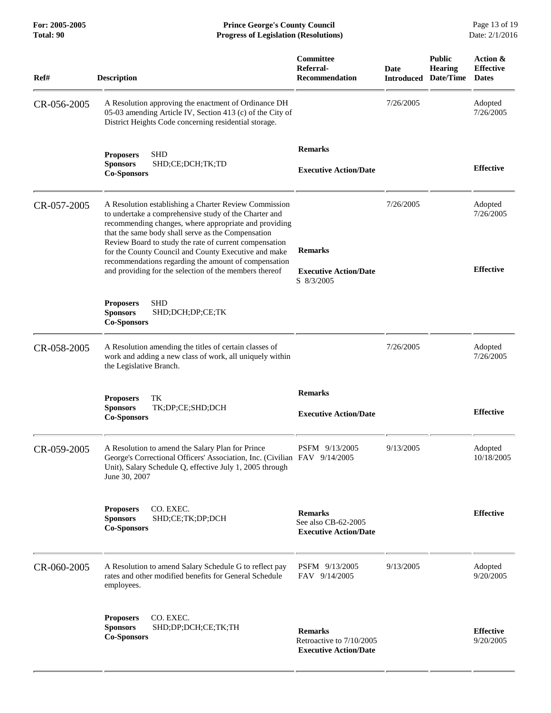**For: 2005-2005 Prince George's County Council** Page 13 of 19<br> **Prince George's County Council** Page 13 of 19<br> **Progress of Legislation (Resolutions)** Date: 2/1/2016 **Total: 90 Progress of Legislation (Resolutions)** 

| Ref#        | <b>Description</b>                                                                                                                                                                                                                                                                                                                                                                                                                                                | Committee<br>Referral-<br><b>Recommendation</b>                            | <b>Date</b><br><b>Introduced</b> | <b>Public</b><br><b>Hearing</b><br>Date/Time | Action &<br><b>Effective</b><br><b>Dates</b> |
|-------------|-------------------------------------------------------------------------------------------------------------------------------------------------------------------------------------------------------------------------------------------------------------------------------------------------------------------------------------------------------------------------------------------------------------------------------------------------------------------|----------------------------------------------------------------------------|----------------------------------|----------------------------------------------|----------------------------------------------|
| CR-056-2005 | A Resolution approving the enactment of Ordinance DH<br>05-03 amending Article IV, Section 413 (c) of the City of<br>District Heights Code concerning residential storage.                                                                                                                                                                                                                                                                                        |                                                                            | 7/26/2005                        |                                              | Adopted<br>7/26/2005                         |
|             | <b>Proposers</b><br><b>SHD</b><br>SHD;CE;DCH;TK;TD<br><b>Sponsors</b><br><b>Co-Sponsors</b>                                                                                                                                                                                                                                                                                                                                                                       | <b>Remarks</b><br><b>Executive Action/Date</b>                             |                                  |                                              | <b>Effective</b>                             |
| CR-057-2005 | A Resolution establishing a Charter Review Commission<br>to undertake a comprehensive study of the Charter and<br>recommending changes, where appropriate and providing<br>that the same body shall serve as the Compensation<br>Review Board to study the rate of current compensation<br>for the County Council and County Executive and make<br>recommendations regarding the amount of compensation<br>and providing for the selection of the members thereof | <b>Remarks</b><br><b>Executive Action/Date</b><br>S 8/3/2005               | 7/26/2005                        |                                              | Adopted<br>7/26/2005<br><b>Effective</b>     |
|             | <b>SHD</b><br><b>Proposers</b><br><b>Sponsors</b><br>SHD;DCH;DP;CE;TK<br><b>Co-Sponsors</b>                                                                                                                                                                                                                                                                                                                                                                       |                                                                            |                                  |                                              |                                              |
| CR-058-2005 | A Resolution amending the titles of certain classes of<br>work and adding a new class of work, all uniquely within<br>the Legislative Branch.                                                                                                                                                                                                                                                                                                                     |                                                                            | 7/26/2005                        |                                              | Adopted<br>7/26/2005                         |
|             | <b>Proposers</b><br>TК<br>TK;DP;CE;SHD;DCH<br><b>Sponsors</b><br><b>Co-Sponsors</b>                                                                                                                                                                                                                                                                                                                                                                               | <b>Remarks</b><br><b>Executive Action/Date</b>                             |                                  |                                              | <b>Effective</b>                             |
| CR-059-2005 | A Resolution to amend the Salary Plan for Prince<br>George's Correctional Officers' Association, Inc. (Civilian FAV 9/14/2005<br>Unit), Salary Schedule Q, effective July 1, 2005 through<br>June 30, 2007                                                                                                                                                                                                                                                        | PSFM 9/13/2005                                                             | 9/13/2005                        |                                              | Adopted<br>10/18/2005                        |
|             | <b>Proposers</b><br>CO. EXEC.<br>SHD;CE;TK;DP;DCH<br><b>Sponsors</b><br><b>Co-Sponsors</b>                                                                                                                                                                                                                                                                                                                                                                        | <b>Remarks</b><br>See also CB-62-2005<br><b>Executive Action/Date</b>      |                                  |                                              | <b>Effective</b>                             |
| CR-060-2005 | A Resolution to amend Salary Schedule G to reflect pay<br>rates and other modified benefits for General Schedule<br>employees.                                                                                                                                                                                                                                                                                                                                    | PSFM 9/13/2005<br>FAV 9/14/2005                                            | 9/13/2005                        |                                              | Adopted<br>9/20/2005                         |
|             | CO. EXEC.<br><b>Proposers</b><br><b>Sponsors</b><br>SHD;DP;DCH;CE;TK;TH<br><b>Co-Sponsors</b>                                                                                                                                                                                                                                                                                                                                                                     | <b>Remarks</b><br>Retroactive to 7/10/2005<br><b>Executive Action/Date</b> |                                  |                                              | <b>Effective</b><br>9/20/2005                |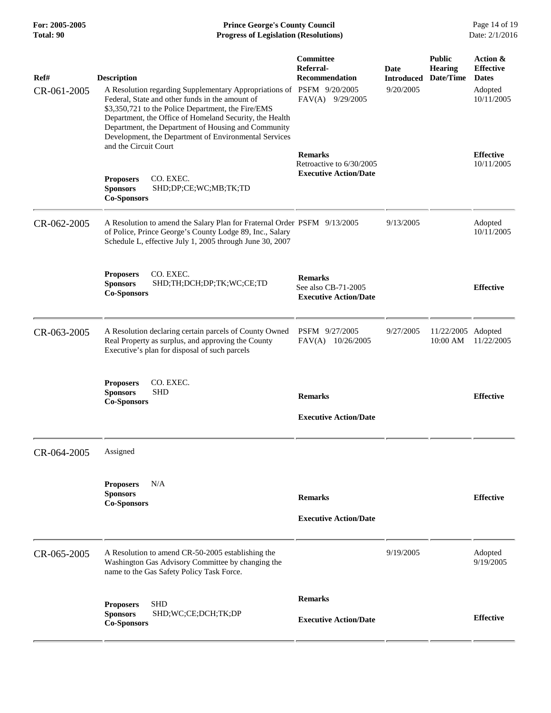**For: 2005-2005 Prince George's County Council** Page 14 of 19<br> **Prince George's County Council** Page 14 of 19<br> **Progress of Legislation (Resolutions)** Date: 2/1/2016 **Total: 90 Progress of Legislation (Resolutions)** 

| Ref#<br>CR-061-2005 | <b>Description</b><br>A Resolution regarding Supplementary Appropriations of PSFM 9/20/2005<br>Federal, State and other funds in the amount of<br>\$3,350,721 to the Police Department, the Fire/EMS<br>Department, the Office of Homeland Security, the Health<br>Department, the Department of Housing and Community<br>Development, the Department of Environmental Services | <b>Committee</b><br>Referral-<br><b>Recommendation</b><br>FAV(A) 9/29/2005 | Date<br><b>Introduced</b><br>9/20/2005 | <b>Public</b><br><b>Hearing</b><br>Date/Time | Action &<br><b>Effective</b><br><b>Dates</b><br>Adopted<br>10/11/2005 |
|---------------------|---------------------------------------------------------------------------------------------------------------------------------------------------------------------------------------------------------------------------------------------------------------------------------------------------------------------------------------------------------------------------------|----------------------------------------------------------------------------|----------------------------------------|----------------------------------------------|-----------------------------------------------------------------------|
|                     | and the Circuit Court<br>CO. EXEC.<br><b>Proposers</b><br><b>Sponsors</b><br>SHD;DP;CE;WC;MB;TK;TD<br><b>Co-Sponsors</b>                                                                                                                                                                                                                                                        | <b>Remarks</b><br>Retroactive to 6/30/2005<br><b>Executive Action/Date</b> |                                        |                                              | <b>Effective</b><br>10/11/2005                                        |
| CR-062-2005         | A Resolution to amend the Salary Plan for Fraternal Order PSFM 9/13/2005<br>of Police, Prince George's County Lodge 89, Inc., Salary<br>Schedule L, effective July 1, 2005 through June 30, 2007                                                                                                                                                                                |                                                                            | 9/13/2005                              |                                              | Adopted<br>10/11/2005                                                 |
|                     | <b>Proposers</b><br>CO. EXEC.<br><b>Sponsors</b><br>SHD;TH;DCH;DP;TK;WC;CE;TD<br><b>Co-Sponsors</b>                                                                                                                                                                                                                                                                             | <b>Remarks</b><br>See also CB-71-2005<br><b>Executive Action/Date</b>      |                                        |                                              | <b>Effective</b>                                                      |
| CR-063-2005         | A Resolution declaring certain parcels of County Owned<br>Real Property as surplus, and approving the County<br>Executive's plan for disposal of such parcels                                                                                                                                                                                                                   | PSFM 9/27/2005<br>FAV(A)<br>10/26/2005                                     | 9/27/2005                              | 11/22/2005 Adopted<br>10:00 AM               | 11/22/2005                                                            |
|                     | CO. EXEC.<br><b>Proposers</b><br><b>Sponsors</b><br><b>SHD</b><br><b>Co-Sponsors</b>                                                                                                                                                                                                                                                                                            | <b>Remarks</b><br><b>Executive Action/Date</b>                             |                                        |                                              | <b>Effective</b>                                                      |
| CR-064-2005         | Assigned                                                                                                                                                                                                                                                                                                                                                                        |                                                                            |                                        |                                              |                                                                       |
|                     | N/A<br><b>Proposers</b><br><b>Sponsors</b><br><b>Co-Sponsors</b>                                                                                                                                                                                                                                                                                                                | <b>Remarks</b><br><b>Executive Action/Date</b>                             |                                        |                                              | <b>Effective</b>                                                      |
| CR-065-2005         | A Resolution to amend CR-50-2005 establishing the<br>Washington Gas Advisory Committee by changing the<br>name to the Gas Safety Policy Task Force.                                                                                                                                                                                                                             |                                                                            | 9/19/2005                              |                                              | Adopted<br>9/19/2005                                                  |
|                     | <b>SHD</b><br><b>Proposers</b><br><b>Sponsors</b><br>SHD;WC;CE;DCH;TK;DP<br><b>Co-Sponsors</b>                                                                                                                                                                                                                                                                                  | <b>Remarks</b><br><b>Executive Action/Date</b>                             |                                        |                                              | <b>Effective</b>                                                      |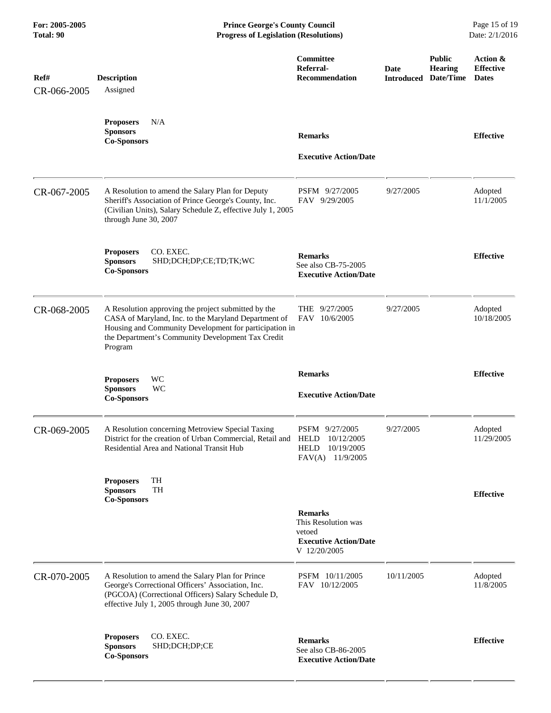| Ref#<br>CR-066-2005 | <b>Description</b><br>Assigned                                                                                                                                                                                                        | Committee<br>Referral-<br><b>Recommendation</b>                                              | Date<br><b>Introduced</b> | <b>Public</b><br><b>Hearing</b><br>Date/Time | Action &<br><b>Effective</b><br><b>Dates</b> |
|---------------------|---------------------------------------------------------------------------------------------------------------------------------------------------------------------------------------------------------------------------------------|----------------------------------------------------------------------------------------------|---------------------------|----------------------------------------------|----------------------------------------------|
|                     | <b>Proposers</b><br>N/A<br><b>Sponsors</b><br><b>Co-Sponsors</b>                                                                                                                                                                      | <b>Remarks</b><br><b>Executive Action/Date</b>                                               |                           |                                              | <b>Effective</b>                             |
| CR-067-2005         | A Resolution to amend the Salary Plan for Deputy<br>Sheriff's Association of Prince George's County, Inc.<br>(Civilian Units), Salary Schedule Z, effective July 1, 2005<br>through June 30, 2007                                     | PSFM 9/27/2005<br>FAV 9/29/2005                                                              | 9/27/2005                 |                                              | Adopted<br>11/1/2005                         |
|                     | <b>Proposers</b><br>CO. EXEC.<br>SHD;DCH;DP;CE;TD;TK;WC<br><b>Sponsors</b><br><b>Co-Sponsors</b>                                                                                                                                      | <b>Remarks</b><br>See also CB-75-2005<br><b>Executive Action/Date</b>                        |                           |                                              | <b>Effective</b>                             |
| CR-068-2005         | A Resolution approving the project submitted by the<br>CASA of Maryland, Inc. to the Maryland Department of<br>Housing and Community Development for participation in<br>the Department's Community Development Tax Credit<br>Program | THE 9/27/2005<br>FAV 10/6/2005                                                               | 9/27/2005                 |                                              | Adopted<br>10/18/2005                        |
|                     | <b>WC</b><br><b>Proposers</b><br>WC<br><b>Sponsors</b><br><b>Co-Sponsors</b>                                                                                                                                                          | <b>Remarks</b><br><b>Executive Action/Date</b>                                               |                           |                                              | <b>Effective</b>                             |
| CR-069-2005         | A Resolution concerning Metroview Special Taxing<br>District for the creation of Urban Commercial, Retail and<br>Residential Area and National Transit Hub                                                                            | PSFM 9/27/2005<br><b>HELD</b><br>10/12/2005<br>10/19/2005<br><b>HELD</b><br>FAV(A) 11/9/2005 | 9/27/2005                 |                                              | Adopted<br>11/29/2005                        |
|                     | TH<br><b>Proposers</b><br>TH<br><b>Sponsors</b><br><b>Co-Sponsors</b>                                                                                                                                                                 | <b>Remarks</b><br>This Resolution was<br>vetoed<br><b>Executive Action/Date</b>              |                           |                                              | <b>Effective</b>                             |
| CR-070-2005         | A Resolution to amend the Salary Plan for Prince                                                                                                                                                                                      | V 12/20/2005<br>PSFM 10/11/2005                                                              | 10/11/2005                |                                              | Adopted                                      |
|                     | George's Correctional Officers' Association, Inc.<br>(PGCOA) (Correctional Officers) Salary Schedule D,<br>effective July 1, 2005 through June 30, 2007                                                                               | FAV 10/12/2005                                                                               |                           |                                              | 11/8/2005                                    |
|                     | CO. EXEC.<br><b>Proposers</b><br><b>Sponsors</b><br>SHD;DCH;DP;CE<br><b>Co-Sponsors</b>                                                                                                                                               | <b>Remarks</b><br>See also CB-86-2005<br><b>Executive Action/Date</b>                        |                           |                                              | <b>Effective</b>                             |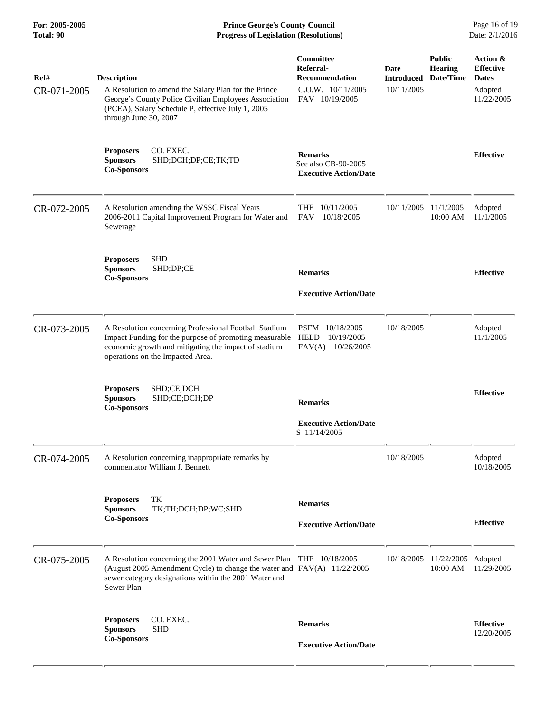**For: 2005-2005 Prince George's County Council** Page 16 of 19<br> **Prince George's County Council** Page 16 of 19<br> **Progress of Legislation (Resolutions)** Date: 2/1/2016 **Total: 90 Progress of Legislation (Resolutions)** 

| Ref#<br>CR-071-2005 | <b>Description</b><br>A Resolution to amend the Salary Plan for the Prince<br>George's County Police Civilian Employees Association<br>(PCEA), Salary Schedule P, effective July 1, 2005<br>through June 30, 2007      | Committee<br>Referral-<br>Recommendation<br>$C.O.W.$ $10/11/2005$<br>FAV 10/19/2005 | Date<br><b>Introduced</b><br>10/11/2005 | <b>Public</b><br><b>Hearing</b><br>Date/Time | Action &<br><b>Effective</b><br><b>Dates</b><br>Adopted<br>11/22/2005 |
|---------------------|------------------------------------------------------------------------------------------------------------------------------------------------------------------------------------------------------------------------|-------------------------------------------------------------------------------------|-----------------------------------------|----------------------------------------------|-----------------------------------------------------------------------|
|                     | CO. EXEC.<br><b>Proposers</b><br><b>Sponsors</b><br>SHD;DCH;DP;CE;TK;TD<br><b>Co-Sponsors</b>                                                                                                                          | <b>Remarks</b><br>See also CB-90-2005<br><b>Executive Action/Date</b>               |                                         |                                              | <b>Effective</b>                                                      |
| CR-072-2005         | A Resolution amending the WSSC Fiscal Years<br>2006-2011 Capital Improvement Program for Water and<br>Sewerage                                                                                                         | THE 10/11/2005<br><b>FAV</b><br>10/18/2005                                          | 10/11/2005 11/1/2005                    | 10:00 AM                                     | Adopted<br>11/1/2005                                                  |
|                     | <b>SHD</b><br><b>Proposers</b><br><b>Sponsors</b><br>SHD;DP;CE<br><b>Co-Sponsors</b>                                                                                                                                   | <b>Remarks</b><br><b>Executive Action/Date</b>                                      |                                         |                                              | <b>Effective</b>                                                      |
| CR-073-2005         | A Resolution concerning Professional Football Stadium<br>Impact Funding for the purpose of promoting measurable<br>economic growth and mitigating the impact of stadium<br>operations on the Impacted Area.            | PSFM 10/18/2005<br>HELD<br>10/19/2005<br>FAV(A)<br>10/26/2005                       | 10/18/2005                              |                                              | Adopted<br>11/1/2005                                                  |
|                     | SHD;CE;DCH<br><b>Proposers</b><br><b>Sponsors</b><br>SHD;CE;DCH;DP<br><b>Co-Sponsors</b>                                                                                                                               | <b>Remarks</b><br><b>Executive Action/Date</b><br>S 11/14/2005                      |                                         |                                              | <b>Effective</b>                                                      |
| CR-074-2005         | A Resolution concerning inappropriate remarks by<br>commentator William J. Bennett                                                                                                                                     |                                                                                     | 10/18/2005                              |                                              | Adopted<br>10/18/2005                                                 |
|                     | TK<br><b>Proposers</b><br><b>Sponsors</b><br>TK;TH;DCH;DP;WC;SHD<br><b>Co-Sponsors</b>                                                                                                                                 | <b>Remarks</b><br><b>Executive Action/Date</b>                                      |                                         |                                              | <b>Effective</b>                                                      |
| CR-075-2005         | A Resolution concerning the 2001 Water and Sewer Plan THE 10/18/2005<br>(August 2005 Amendment Cycle) to change the water and FAV(A) 11/22/2005<br>sewer category designations within the 2001 Water and<br>Sewer Plan |                                                                                     |                                         | 10/18/2005 11/22/2005 Adopted<br>10:00 AM    | 11/29/2005                                                            |
|                     | <b>Proposers</b><br>CO. EXEC.<br><b>SHD</b><br><b>Sponsors</b><br><b>Co-Sponsors</b>                                                                                                                                   | <b>Remarks</b><br><b>Executive Action/Date</b>                                      |                                         |                                              | <b>Effective</b><br>12/20/2005                                        |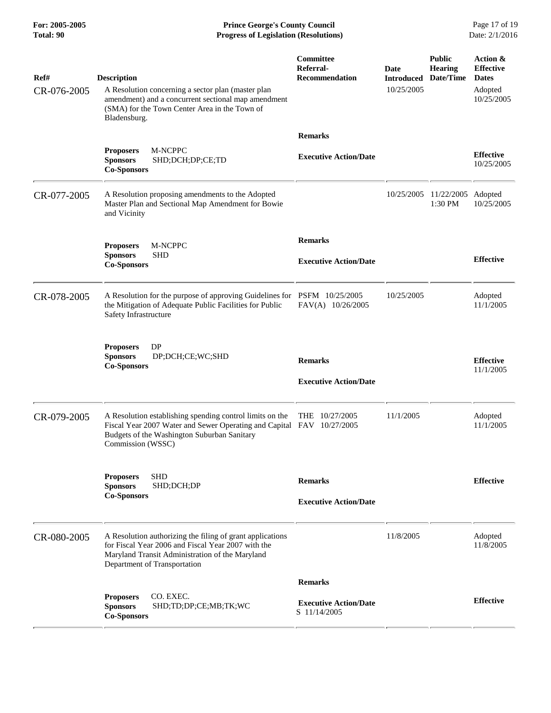**For: 2005-2005 Prince George's County Council** Page 17 of 19<br> **Prince George's County Council** Page 17 of 19<br> **Progress of Legislation (Resolutions)** Date: 2/1/2016 **Total: 90 Progress of Legislation (Resolutions)** 

| Ref#<br>CR-076-2005 | <b>Description</b><br>A Resolution concerning a sector plan (master plan<br>amendment) and a concurrent sectional map amendment<br>(SMA) for the Town Center Area in the Town of<br>Bladensburg.      | Committee<br>Referral-<br><b>Recommendation</b>                | Date<br><b>Introduced</b><br>10/25/2005 | <b>Public</b><br><b>Hearing</b><br>Date/Time | Action &<br><b>Effective</b><br><b>Dates</b><br>Adopted<br>10/25/2005 |
|---------------------|-------------------------------------------------------------------------------------------------------------------------------------------------------------------------------------------------------|----------------------------------------------------------------|-----------------------------------------|----------------------------------------------|-----------------------------------------------------------------------|
|                     | M-NCPPC<br><b>Proposers</b><br><b>Sponsors</b><br>SHD;DCH;DP;CE;TD<br><b>Co-Sponsors</b>                                                                                                              | <b>Remarks</b><br><b>Executive Action/Date</b>                 |                                         |                                              | <b>Effective</b><br>10/25/2005                                        |
| CR-077-2005         | A Resolution proposing amendments to the Adopted<br>Master Plan and Sectional Map Amendment for Bowie<br>and Vicinity                                                                                 |                                                                | 10/25/2005                              | 11/22/2005 Adopted<br>1:30 PM                | 10/25/2005                                                            |
|                     | M-NCPPC<br><b>Proposers</b><br><b>Sponsors</b><br><b>SHD</b><br><b>Co-Sponsors</b>                                                                                                                    | <b>Remarks</b><br><b>Executive Action/Date</b>                 |                                         |                                              | <b>Effective</b>                                                      |
| CR-078-2005         | A Resolution for the purpose of approving Guidelines for PSFM 10/25/2005<br>the Mitigation of Adequate Public Facilities for Public<br>Safety Infrastructure                                          | FAV(A) 10/26/2005                                              | 10/25/2005                              |                                              | Adopted<br>11/1/2005                                                  |
|                     | <b>Proposers</b><br>DP<br>DP;DCH;CE;WC;SHD<br><b>Sponsors</b><br><b>Co-Sponsors</b>                                                                                                                   | <b>Remarks</b><br><b>Executive Action/Date</b>                 |                                         |                                              | <b>Effective</b><br>11/1/2005                                         |
| CR-079-2005         | A Resolution establishing spending control limits on the<br>Fiscal Year 2007 Water and Sewer Operating and Capital FAV 10/27/2005<br>Budgets of the Washington Suburban Sanitary<br>Commission (WSSC) | THE 10/27/2005                                                 | 11/1/2005                               |                                              | Adopted<br>11/1/2005                                                  |
|                     | <b>Proposers</b><br><b>SHD</b><br>SHD;DCH;DP<br><b>Sponsors</b><br><b>Co-Sponsors</b>                                                                                                                 | <b>Remarks</b><br><b>Executive Action/Date</b>                 |                                         |                                              | <b>Effective</b>                                                      |
| CR-080-2005         | A Resolution authorizing the filing of grant applications<br>for Fiscal Year 2006 and Fiscal Year 2007 with the<br>Maryland Transit Administration of the Maryland<br>Department of Transportation    |                                                                | 11/8/2005                               |                                              | Adopted<br>11/8/2005                                                  |
|                     | CO. EXEC.<br><b>Proposers</b><br><b>Sponsors</b><br>SHD;TD;DP;CE;MB;TK;WC<br><b>Co-Sponsors</b>                                                                                                       | <b>Remarks</b><br><b>Executive Action/Date</b><br>S 11/14/2005 |                                         |                                              | <b>Effective</b>                                                      |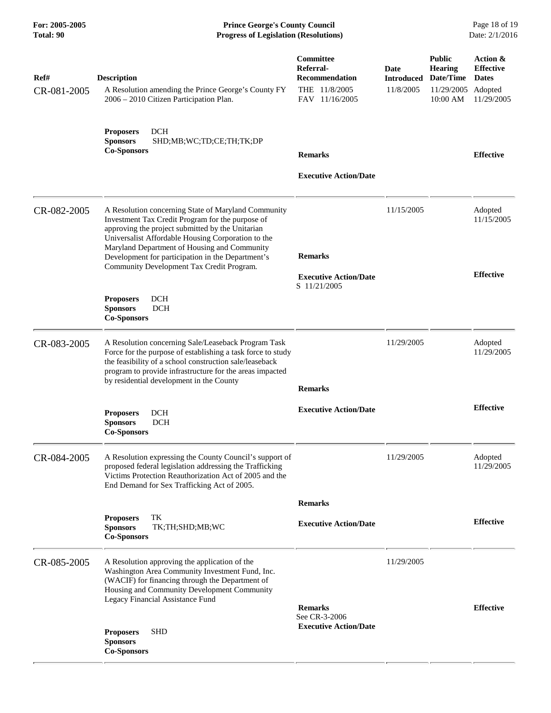**For: 2005-2005 Prince George's County Council** Page 18 of 19<br> **Prince George's County Council** Page 18 of 19<br> **Progress of Legislation (Resolutions)** Date: 2/1/2016 **Total: 90 Progress of Legislation (Resolutions)** 

| Ref#<br>CR-081-2005 | <b>Description</b><br>A Resolution amending the Prince George's County FY                                                                                                                                                                                                                                                                                           | Committee<br>Referral-<br><b>Recommendation</b><br>THE 11/8/2005 | Date<br><b>Introduced</b><br>11/8/2005 | <b>Public</b><br><b>Hearing</b><br>Date/Time<br>11/29/2005 | Action &<br><b>Effective</b><br><b>Dates</b><br>Adopted |
|---------------------|---------------------------------------------------------------------------------------------------------------------------------------------------------------------------------------------------------------------------------------------------------------------------------------------------------------------------------------------------------------------|------------------------------------------------------------------|----------------------------------------|------------------------------------------------------------|---------------------------------------------------------|
|                     | 2006 - 2010 Citizen Participation Plan.<br><b>DCH</b><br><b>Proposers</b><br><b>Sponsors</b><br>SHD;MB;WC;TD;CE;TH;TK;DP<br><b>Co-Sponsors</b>                                                                                                                                                                                                                      | FAV 11/16/2005<br><b>Remarks</b><br><b>Executive Action/Date</b> |                                        | 10:00 AM                                                   | 11/29/2005<br><b>Effective</b>                          |
| CR-082-2005         | A Resolution concerning State of Maryland Community<br>Investment Tax Credit Program for the purpose of<br>approving the project submitted by the Unitarian<br>Universalist Affordable Housing Corporation to the<br>Maryland Department of Housing and Community<br>Development for participation in the Department's<br>Community Development Tax Credit Program. | <b>Remarks</b><br><b>Executive Action/Date</b><br>S 11/21/2005   | 11/15/2005                             |                                                            | Adopted<br>11/15/2005<br><b>Effective</b>               |
|                     | <b>Proposers</b><br>DCH<br><b>Sponsors</b><br><b>DCH</b><br><b>Co-Sponsors</b>                                                                                                                                                                                                                                                                                      |                                                                  |                                        |                                                            |                                                         |
| CR-083-2005         | A Resolution concerning Sale/Leaseback Program Task<br>Force for the purpose of establishing a task force to study<br>the feasibility of a school construction sale/leaseback<br>program to provide infrastructure for the areas impacted<br>by residential development in the County                                                                               | <b>Remarks</b>                                                   | 11/29/2005                             |                                                            | Adopted<br>11/29/2005                                   |
|                     | DCH<br><b>Proposers</b><br><b>Sponsors</b><br><b>DCH</b><br><b>Co-Sponsors</b>                                                                                                                                                                                                                                                                                      | <b>Executive Action/Date</b>                                     |                                        |                                                            | <b>Effective</b>                                        |
| CR-084-2005         | A Resolution expressing the County Council's support of<br>proposed federal legislation addressing the Trafficking<br>Victims Protection Reauthorization Act of 2005 and the<br>End Demand for Sex Trafficking Act of 2005.                                                                                                                                         |                                                                  | 11/29/2005                             |                                                            | Adopted<br>11/29/2005                                   |
|                     |                                                                                                                                                                                                                                                                                                                                                                     | <b>Remarks</b>                                                   |                                        |                                                            |                                                         |
|                     | TK<br><b>Proposers</b><br><b>Sponsors</b><br>TK;TH;SHD;MB;WC<br><b>Co-Sponsors</b>                                                                                                                                                                                                                                                                                  | <b>Executive Action/Date</b>                                     |                                        |                                                            | <b>Effective</b>                                        |
| CR-085-2005         | A Resolution approving the application of the<br>Washington Area Community Investment Fund, Inc.<br>(WACIF) for financing through the Department of<br>Housing and Community Development Community<br>Legacy Financial Assistance Fund                                                                                                                              | <b>Remarks</b>                                                   | 11/29/2005                             |                                                            | <b>Effective</b>                                        |
|                     | <b>SHD</b><br><b>Proposers</b><br><b>Sponsors</b><br><b>Co-Sponsors</b>                                                                                                                                                                                                                                                                                             | See CR-3-2006<br><b>Executive Action/Date</b>                    |                                        |                                                            |                                                         |